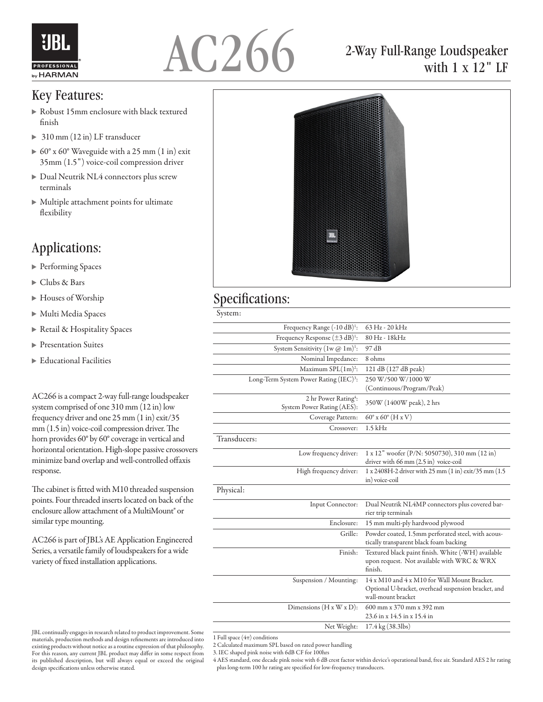



## Key Features:

- Robust 15mm enclosure with black textured finish
- ▶ 310 mm (12 in) LF transducer
- 60° x 60° Waveguide with a 25 mm (1 in) exit 35mm (1.5") voice-coil compression driver
- Dual Neutrik NL4 connectors plus screw terminals
- Multiple attachment points for ultimate flexibility

## Applications:

- ▶ Performing Spaces
- Clubs & Bars
- Houses of Worship
- Multi Media Spaces
- ▶ Retail & Hospitality Spaces
- **Presentation Suites**
- Educational Facilities

AC266 is a compact 2-way full-range loudspeaker system comprised of one 310 mm (12 in) low frequency driver and one 25 mm (1 in) exit/35 mm (1.5 in) voice-coil compression driver. The horn provides 60° by 60° coverage in vertical and horizontal orientation. High-slope passive crossovers minimize band overlap and well-controlled offaxis response.

The cabinet is fitted with M10 threaded suspension points. Four threaded inserts located on back of the enclosure allow attachment of a MultiMount® or similar type mounting.

AC266 is part of JBL's AE Application Engineered Series, a versatile family of loudspeakers for a wide variety of fixed installation applications.



2-Way Full-Range Loudspeaker

with 1 x 12" LF

## Specifications:

System:

| Frequency Range (-10 dB) <sup>1</sup> :                        | 63 Hz - 20 kHz                                                                               |
|----------------------------------------------------------------|----------------------------------------------------------------------------------------------|
| Frequency Response $(\pm 3 \text{ dB})^1$ :                    | 80 Hz - 18kHz                                                                                |
| System Sensitivity $(1w @ 1m)^{1}$ :                           | 97 dB                                                                                        |
| Nominal Impedance:                                             | 8 ohms                                                                                       |
| Maximum $SPL(1m)^2$ :                                          | 121 dB (127 dB peak)                                                                         |
| Long-Term System Power Rating (IEC) <sup>3</sup> :             | 250 W/500 W/1000 W                                                                           |
|                                                                | (Continuous/Program/Peak)                                                                    |
| 2 hr Power Rating <sup>4</sup> :<br>System Power Rating (AES): | 350W (1400W peak), 2 hrs                                                                     |
| Coverage Pattern:                                              | $60^{\circ}$ x $60^{\circ}$ (H x V)                                                          |
| Crossover:                                                     | $1.5$ kHz                                                                                    |
| Transducers:                                                   |                                                                                              |
| Low frequency driver:                                          | 1 x 12" woofer (P/N: 5050730), 310 mm (12 in)                                                |
|                                                                | driver with 66 mm (2.5 in) voice-coil                                                        |
| High frequency driver:                                         | 1 x 2408H-2 driver with 25 mm (1 in) exit/35 mm (1.5)<br>in) voice-coil                      |
| Physical:                                                      |                                                                                              |
|                                                                |                                                                                              |
| Input Connector:                                               | Dual Neutrik NL4MP connectors plus covered bar-<br>rier trip terminals                       |
| Enclosure:                                                     | 15 mm multi-ply hardwood plywood                                                             |
| Grille:                                                        | Powder coated, 1.5mm perforated steel, with acous-<br>tically transparent black foam backing |
| Finish:                                                        | Textured black paint finish. White (-WH) available                                           |
|                                                                | upon request. Not available with WRC & WRX<br>finish.                                        |
| Suspension / Mounting:                                         | 14 x M10 and 4 x M10 for Wall Mount Bracket.                                                 |
|                                                                | Optional U-bracket, overhead suspension bracket, and                                         |
|                                                                | wall-mount bracket                                                                           |
| Dimensions $(H x W x D)$ :                                     | 600 mm x 370 mm x 392 mm                                                                     |
|                                                                | 23.6 in x 14.5 in x 15.4 in                                                                  |
| Net Weight:                                                    | 17.4 kg (38.3lbs)                                                                            |

1 Full space  $(4\pi)$  conditions

2 Calculated maximum SPL based on rated power handling

3. IEC shaped pink noise with 6dB CF for 100hrs

4 AES standard, one decade pink noise with 6 dB crest factor within device's operational band, free air. Standard AES 2 hr rating plus long-term 100 hr rating are specified for low-frequency transducers.